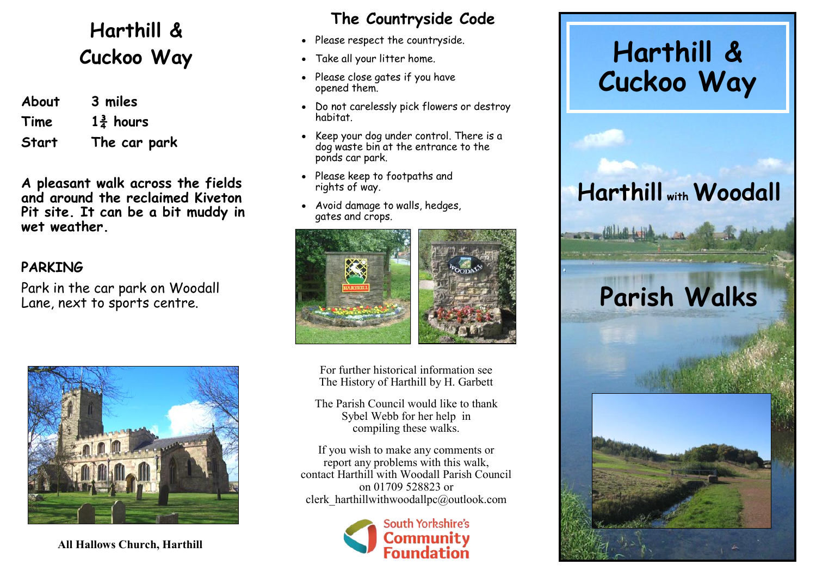### **Harthill & Cuckoo Way**

| About        | 3 miles              |
|--------------|----------------------|
| Time         | $1\frac{3}{4}$ hours |
| <b>Start</b> | The car park         |

**A pleasant walk across the fields and around the reclaimed Kiveton Pit site. It can be a bit muddy in wet weather.**

#### **PARKING**

Park in the car park on Woodall Lane, next to sports centre.



**All Hallows Church, Harthill**

#### **The Countryside Code**

- Please respect the countryside.
- Take all your litter home.
- Please close gates if you have opened them.
- Do not carelessly pick flowers or destroy habitat.
- Keep your dog under control. There is a dog waste bin at the entrance to the ponds car park.
- Please keep to footpaths and rights of way.
- Avoid damage to walls, hedges, gates and crops.





For further historical information see The History of Harthill by H. Garbett

The Parish Council would like to thank Sybel Webb for her help in compiling these walks.

If you wish to make any comments or report any problems with this walk, contact Harthill with Woodall Parish Council on 01709 528823 or clerk\_harthillwithwoodallpc@outlook.com



## **Harthill & Cuckoo Way**

## **Harthill with Woodall**

# **Parish Walks**